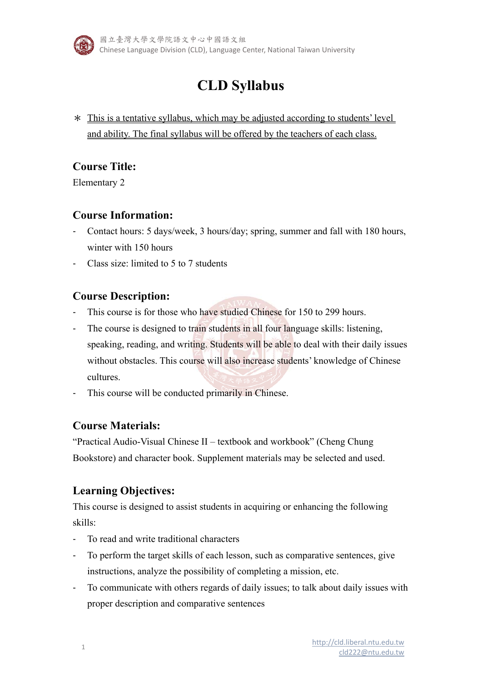

國立臺灣大學文學院語文中心中國語文組 Chinese Language Division (CLD), Language Center, National Taiwan University

# **CLD Syllabus**

\* This is a tentative syllabus, which may be adjusted according to students' level and ability. The final syllabus will be offered by the teachers of each class.

## **Course Title:**

Elementary 2

## **Course Information:**

- Contact hours: 5 days/week, 3 hours/day; spring, summer and fall with 180 hours, winter with 150 hours
- Class size: limited to 5 to 7 students

## **Course Description:**

- This course is for those who have studied Chinese for 150 to 299 hours.
- The course is designed to train students in all four language skills: listening, speaking, reading, and writing. Students will be able to deal with their daily issues without obstacles. This course will also increase students' knowledge of Chinese cultures.
- This course will be conducted primarily in Chinese.

## **Course Materials:**

"Practical Audio-Visual Chinese II – textbook and workbook" (Cheng Chung Bookstore) and character book. Supplement materials may be selected and used.

## **Learning Objectives:**

This course is designed to assist students in acquiring or enhancing the following skills:

- To read and write traditional characters
- To perform the target skills of each lesson, such as comparative sentences, give instructions, analyze the possibility of completing a mission, etc.
- To communicate with others regards of daily issues; to talk about daily issues with proper description and comparative sentences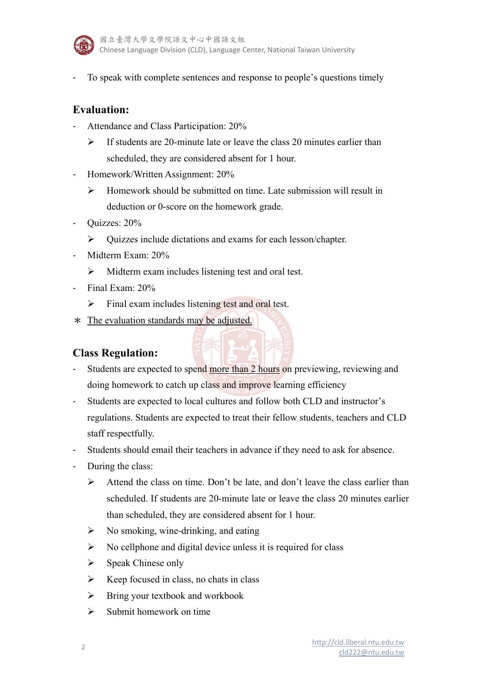

To speak with complete sentences and response to people's questions timely

## **Evaluation:**

- Attendance and Class Participation: 20%
	- $\triangleright$  If students are 20-minute late or leave the class 20 minutes earlier than scheduled, they are considered absent for 1 hour.
- Homework/Written Assignment: 20%
	- $\triangleright$  Homework should be submitted on time. Late submission will result in deduction or 0-score on the homework grade.
- Quizzes: 20%
	- Quizzes include dictations and exams for each lesson/chapter.
- Midterm Exam: 20%
	- $\triangleright$  Midterm exam includes listening test and oral test.
- Final Exam: 20%
	- $\triangleright$  Final exam includes listening test and oral test.
- \* The evaluation standards may be adjusted.

## **Class Regulation:**

- Students are expected to spend more than 2 hours on previewing, reviewing and doing homework to catch up class and improve learning efficiency
- Students are expected to local cultures and follow both CLD and instructor's regulations. Students are expected to treat their fellow students, teachers and CLD staff respectfully.
- Students should email their teachers in advance if they need to ask for absence.
- During the class:
	- $\triangleright$  Attend the class on time. Don't be late, and don't leave the class earlier than scheduled. If students are 20-minute late or leave the class 20 minutes earlier than scheduled, they are considered absent for 1 hour.
	- $\triangleright$  No smoking, wine-drinking, and eating
	- $\triangleright$  No cellphone and digital device unless it is required for class
	- $\triangleright$  Speak Chinese only
	- $\triangleright$  Keep focused in class, no chats in class
	- $\triangleright$  Bring your textbook and workbook
	- $\triangleright$  Submit homework on time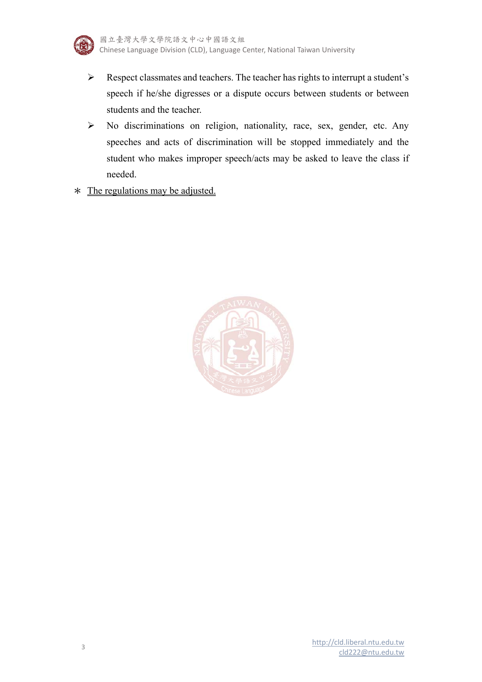

- Respect classmates and teachers. The teacher has rights to interrupt a student's speech if he/she digresses or a dispute occurs between students or between students and the teacher.
- No discriminations on religion, nationality, race, sex, gender, etc. Any speeches and acts of discrimination will be stopped immediately and the student who makes improper speech/acts may be asked to leave the class if needed.
- \* The regulations may be adjusted.

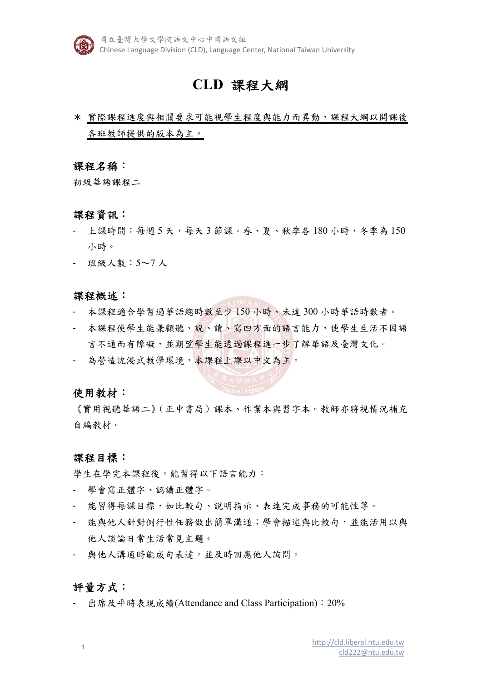

國立臺灣大學文學院語文中心中國語文組 Chinese Language Division (CLD), Language Center, National Taiwan University

## **CLD** 課程大綱

\* 實際課程進度與相關要求可能視學生程度與能力而異動,課程大綱以開課後 各班教師提供的版本為主。

### 課程名稱:

初級華語課程二

### 課程資訊:

- 上課時間:每週 5 天,每天 3 節課。春、夏、秋季各 180 小時,冬季為 150 小時。
- 班級人數:5~7 人

### 課程概述:

- 本課程適合學習過華語總時數至少 150 小時、未達 300 小時華語時數者。
- 本課程使學生能兼顧聽、說、讀、寫四方面的語言能力,使學生生活不因語 言不通而有障礙,並期望學生能透過課程進一步了解華語及臺灣文化。
- 為營造沈浸式教學環境,本課程上課以中文為主。

#### 使用教材:

《實用視聽華語二》(正中書局)課本、作業本與習字本。教師亦將視情況補充 自編教材。

### 課程目標:

學生在學完本課程後,能習得以下語言能力:

- 學會寫正體字、認讀正體字。
- 能習得每課目標,如比較句、說明指示、表達完成事務的可能性等。
- 能與他人針對例行性任務做出簡單溝通;學會描述與比較句,並能活用以與 他人談論日常生活常見主題。
- 與他人溝通時能成句表達,並及時回應他人詢問。

### 評量方式:

出席及平時表現成績(Attendance and Class Participation): 20%